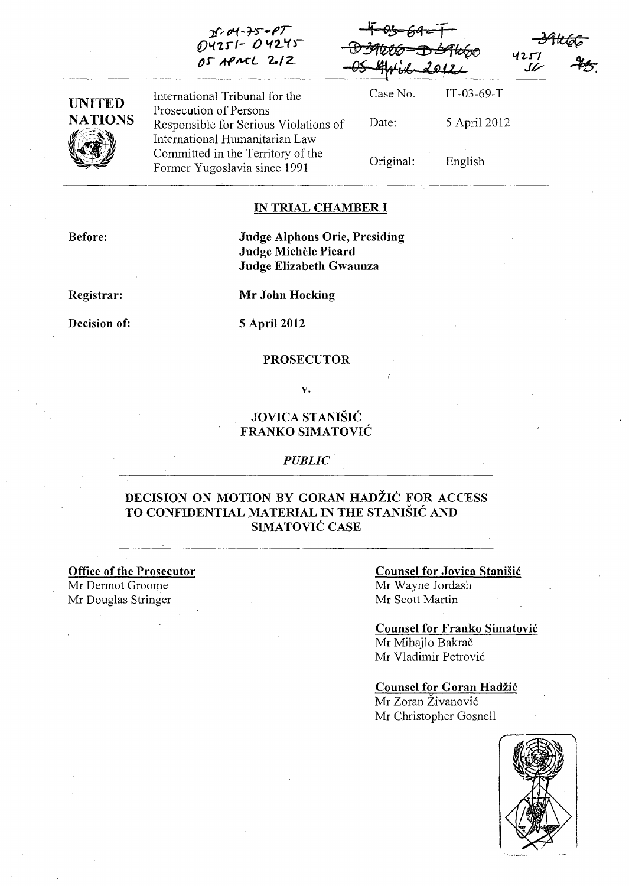|                | $P \sim 100$<br>$04251 - 04245$<br>OS APACL 2.12                                                  | $\sim$ 201<br>-D39606-D39660 | 2012         | 4251 |
|----------------|---------------------------------------------------------------------------------------------------|------------------------------|--------------|------|
| <b>UNITED</b>  | International Tribunal for the                                                                    | Case No.                     | $IT-03-69-T$ |      |
| <b>NATIONS</b> | Prosecution of Persons<br>Responsible for Serious Violations of<br>International Humanitarian Law | Date:                        | 5 April 2012 |      |
|                | Committed in the Territory of the<br>Former Yugoslavia since 1991                                 | Original:                    | English      |      |

'f G!s"'" *6b1* - T

#### IN TRIAL CHAMBER I

Before:

### Judge Alphons Orie, Presiding Judge Michele Picard Judge Elizabeth Gwaunza

Registrar:

Decision of: 5 April 2012

Mr John Hocking

*Jl'r rH* -*7-r .. PT* 

#### PROSECUTOR

v.

## JOVICA STANISIC FRANKO SIMATOVIC

#### *PUBLIC*

## DECISION ON MOTION BY GORAN HADŽIĆ FOR ACCESS TO CONFIDENTIAL MATERIAL IN THE STANISIC AND SIMATOVIC CASE

Office of the Prosecutor

Mr Dermot Groome Mr Douglas Stringer

#### Counsel for Jovica Stanisic Mr Wayne lordash Mr Scott Martin

## Counsel for Franko Simatovic Mr Mihajlo Bakrač

Mr Vladimir Petrovic

## Counsel for Goran Hadžić

Mr Zoran Živanović Mr Christopher Gosnell

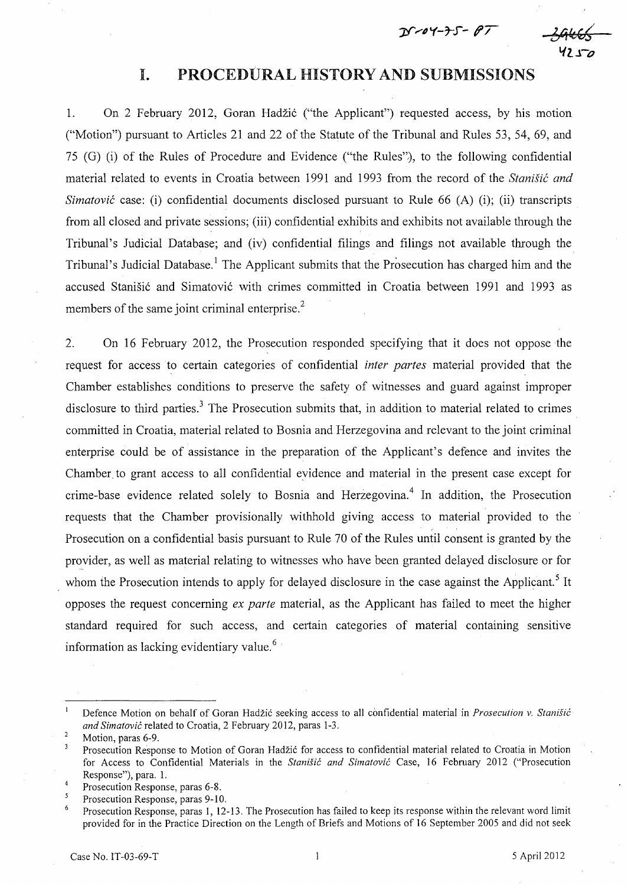$D7 - 04 - 75 - 07$ 



## I. PROCEDURAL HISTORY AND SUBMISSIONS

1. On 2 February 2012, Goran Hadzi6 ("the Applicant") requested access, by his motion ("Motion") pursuant to Articles 21 and 22 of the Statute of the Tribunal and Rules 53, 54, 69, and 75 (G) (i) of the Rules of Procedure and Evidence ("the Rules"), to the following confidential material related to events in Croatia between 1991 and 1993 from the record of the *Stanisic and Simatović* case: (i) confidential documents disclosed pursuant to Rule 66 (A) (i); (ii) transcripts from all closed and private sessions; (iii) confidential exhibits and exhibits not available through the Tribunal's Judicial Database; and (iv) confidential filings and filings not available through the Tribunal's Judicial Database.<sup>1</sup> The Applicant submits that the Prosecution has charged him and the accused Stanišić and Simatović with crimes committed in Croatia between 1991 and 1993 as members of the same joint criminal enterprise.<sup>2</sup>

2. On 16 February 2012, the Prosecution responded specifying that it does not oppose the request for access to certain categories of confidential *inter partes* material provided that the Chamber establishes conditions to preserve the safety of witnesses and guard against improper disclosure to third parties.<sup>3</sup> The Prosecution submits that, in addition to material related to crimes committed in Croatia, material related to Bosnia and Herzegovina and relevant to the joint criminal enterprise could be of assistance in the preparation of the Applicant's defence and invites the Chamber to grant access to all confidential evidence and material in the present case except for crime-base evidence related solely to Bosnia and Herzegovina.<sup>4</sup> In addition, the Prosecution requests that the Chamber provisionally withhold giving access to material provided to the Prosecution on a confidential basis pursuant to Rule 70 of the Rules until consent is granted by the provider, as well as material relating to witnesses who have been granted delayed disclosure or for whom the Prosecution intends to apply for delayed disclosure in the case against the Applicant.<sup>5</sup> It opposes the request concerning *ex parte* material, as the Applicant has failed to meet the higher standard required for such access, and certain categories of material containing sensitive information as lacking evidentiary value. <sup>6</sup>

 $\mathbf{1}$ Defence Motion on behalf of Goran Hadzic seeking access to alI confidential material in *Prosecution v. Staniiic and Simatovic* related to Croatia, 2 February 2012, paras 1-3.

 $\overline{2}$ Motion, paras 6-9.

 $\overline{\mathbf{3}}$ Prosecution Response to Motion of Goran Hadžić for access to confidential material related to Croatia in Motion for Access to Confidential Materials in the *Staniiic and Simatovic* Case, 16 February 2012 ("Prosecution Response"), para. 1.

 $\overline{4}$ Prosecution Response, paras 6-8.

<sup>5</sup> Prosecution Response, paras 9-10.

<sup>6</sup>  Prosecution Response, paras 1, 12-13. The Prosecution has failed to keep its response within the relevant word limit provided for in the Practice Direction on the Length of Briefs and Motions of 16 September 2005 and did not seek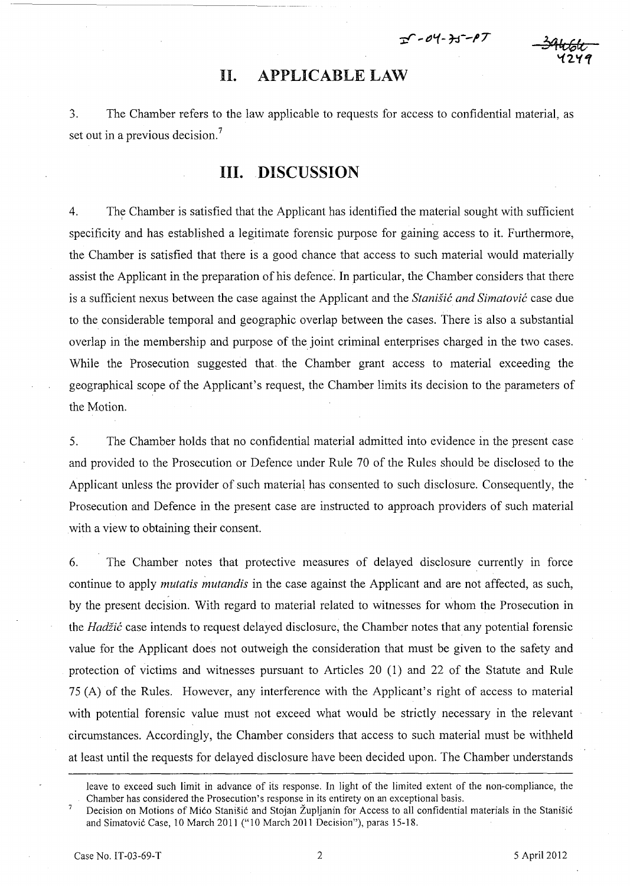$T - 04 - 35 - 07$ 

# II. APPLICABLE LAW

3. The Chamber refers to the law applicable to requests for access to confidential material, as set out in a previous decision.<sup>7</sup>

## **III. DISCUSSION**

4. The Chamber is satisfied that the Applicant has identified the material sought with sufficient specificity and has established a legitimate forensic purpose for gaining access to it. Furthermore, the Chamber is satisfied that there is a good chance that access to such material would materially assist the Applicant in the preparation of his defence. In particular, the Chamber considers that there is a sufficient nexus between the case against the Applicant and the *Stanisic and Simatovic* case due to the considerable temporal and geographic overlap between the cases. There is also a substantial overlap in the membership and purpose of the joint criminal enterprises charged in the two cases. While the Prosecution suggested that the Chamber grant access to material exceeding the geographical scope of the Applicant's request, the Chamber limits its decision to the parameters of the Motion.

5. The Chamber holds that no confidential material admitted into evidence in the present case and provided to the Prosecution or Defence under Rule 70 of the Rules should be disclosed to the Applicant unless the provider of such material has consented to such disclosure. Consequently, the Prosecution and Defence in the present case are instructed to approach providers of such material with a view to obtaining their consent.

6. The Chamber notes that protective measures of delayed disclosure currently in force continue to apply *mutatis mutandis* in the case against the Applicant and are not affected, as such, by the present decision. With regard to material related to witnesses for whom the Prosecution in the *Hadiic* case intends to request delayed disclosure, the Chamber notes that any potential forensic value for the Applicant does not outweigh the consideration that must be given to the safety and protection of victims and witnesses pursuant to Articles 20 (1) and 22 of the Statute and Rule 75 (A) of the Rules. However, any interference with the Applicant's right of access to material with potential forensic value must not exceed what would be strictly necessary in the relevant circumstances. Accordingly, the Chamber considers that access to such material must be withheld at least until the requests for delayed disclosure have been decided upon. The Chamber understands

leave to exceed such limit in advance of its response. In light of the limited extent of the non-compliance, the Chamber has considered the Prosecution's response in its entirety on an exceptional basis.

Decision on Motions of Mićo Stanišić and Stojan Župljanin for Access to all confidential materials in the Stanišić and Simatovic Case, 10 March 2011 ("10 March 2011 Decision"), paras 15-18.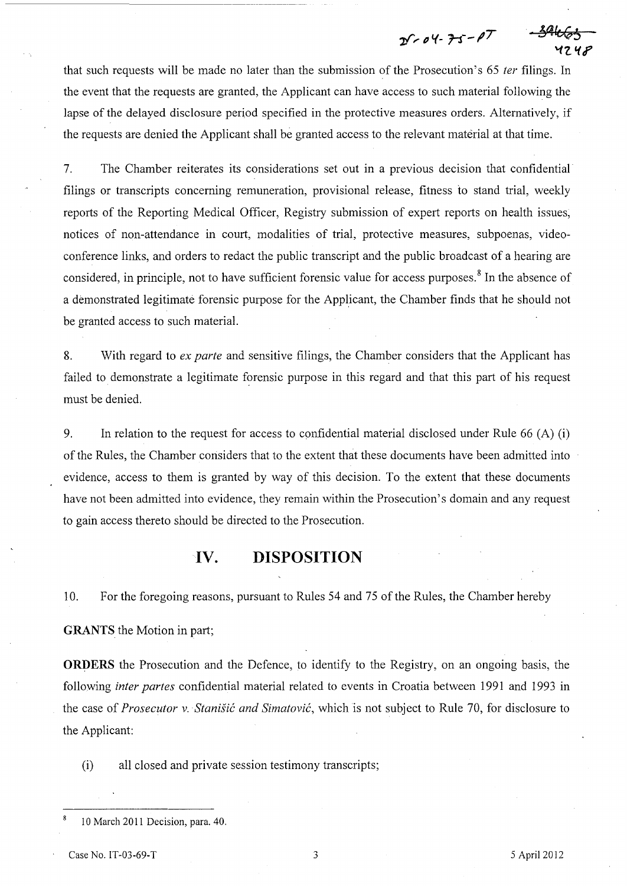$25 - 04 - 75 - 17$ 

that such requests will be made no later than the submission of the Prosecution's 65 fer filings. In the event that the requests are granted, the Applicant can have access to such material following the lapse of the delayed disclosure period specified in the protective measures orders. Alternatively, if the requests are denied the Applicant shall be granted access to the relevant material at that time.

7. The Chamber reiterates its considerations set out in a previous decision that confidential filings or transcripts concerning remuneration, provisional release, fitness to stand trial, weekly reports of the Reporting Medical Officer, Registry submission of expert reports on health issues, notices of non-attendance in court, modalities of trial, protective measures, subpoenas, videoconference links, and orders to redact the public transcript and the public broadcast of a hearing are considered, in principle, not to have sufficient forensic value for access purposes.<sup>8</sup> In the absence of a demonstrated legitimate forensic purpose for the Applicant, the Chamber finds that he should not be granted access to such material.

8. With regard to ex parte and sensitive filings, the Chamber considers that the Applicant has failed to demonstrate a legitimate forensic purpose in this regard and that this part of his request must be denied.

9. In relation to the request for access to confidential material disclosed under Rule 66 (A) (i) of the Rules, the Chamber considers that to the extent that these documents have been admitted into evidence, access to them is granted by way of this decision. To the extent that these documents have not been admitted into evidence, they remain within the Prosecution's domain and any request to gain access thereto should be directed to the Prosecution.

## **IV. DISPOSITION**

10. For the foregoing reasons, pursuant to Rules 54 and 75 of the Rules, the Chamber hereby

**GRANTS** the Motion in part;

**ORDERS** the Prosecution and the Defence, to identify to the Registry, on an ongoing basis, the following inter partes confidential material related to events in Croatia between 1991 and 1993 in the case of Prosecutor v. Stanišić and Simatović, which is not subject to Rule 70, for disclosure to the Applicant:

(i) all closed and private session testimony transcripts;

<sup>10</sup> March 2011 Decision, para. 40.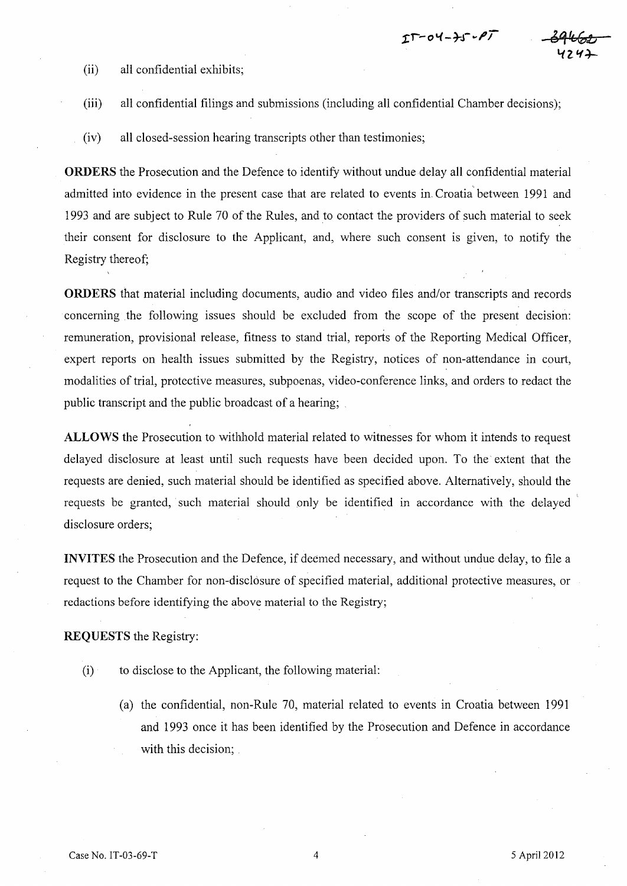- (ii) all confidential exhibits;
- (iii) all confidential filings and submissions (including all confidential Chamber decisions);

 $\mathfrak{I}\Gamma$ -04-) $\mathfrak{I}\cdot\boldsymbol{\rho}\mathcal{T}$ 

(iv) all closed-session hearing transcripts other than testimonies;

**ORDERS** the Prosecution and the Defence to identify without undue delay all confidential material admitted into evidence in the present case that are related to events in Croatia between 1991 and 1993 and are subject to Rule 70 of the Rules, and to contact the providers of such material to seek their consent for disclosure to the Applicant, and, where such consent is given, to notify the Registry thereof;

**ORDERS** that material including documents, audio and video files and/or transcripts and records concerning the following issues should be excluded from the scope of the present decision: remuneration, provisional release, fitness to stand trial, reports of the Reporting Medical Officer, expert reports on health issues submitted by the Registry, notices of non-attendance in court, modalities of trial, protective measures, subpoenas, video-conference links, and orders to redact the public transcript and the public broadcast of a hearing; .

**ALLOWS** the Prosecution to withhold material related to witnesses for whom it intends to request delayed disclosure at least until such requests have been decided upon. To the extent that the requests are denied, such material should be identified as specified above. Alternatively, should the requests be granted, such material should only be identified in accordance with the delayed ' disclosure orders;

**INVITES** the Prosecution and the Defence, if deemed necessary, and without undue delay, to file a request to the Chamber for non-disclosure of specified material, additional protective measures, or redactions before identifying the above material to the Registry;

**REQUESTS** the Registry:

- (i) to disclose to the Applicant, the following material:
	- (a) the confidential, non-Rule 70, material related to events in Croatia between 1991 and 1993 once it has been identified by the Prosecution and Defence in accordance with this decision;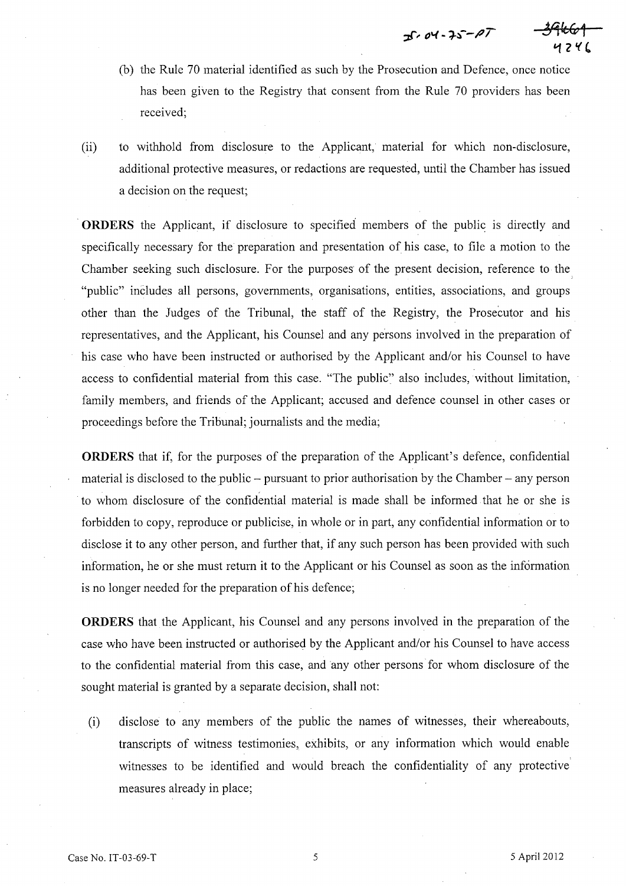$35.04 - 25 - 27$ 

- (b) the Rule 70 material identified as such by the Prosecution and Defence, once notice has been given to the Registry that consent from the Rule 70 providers has been received;
- (ii) to withhold from disclosure to the Applicant, material for which non-disclosure, additional protective measures, or redactions are requested, until the Chamber has issued a decision on the request;

. **ORDERS** the Applicant, if disclosure to specified members of the public is directly and specifically necessary for the preparation and presentation of his case, to file a motion to the Chamber seeking such disclosure. For the purposes of the present decision, reference to the. "public" includes all persons, governments, organisations, entities, associations, and groups other than the Judges of the Tribunal, the staff of the Registry, the Prosecutor and his representatives, and the Applicant, his Counsel and any persons involved in the preparation of his case who have been instructed or authorised by the Applicant and/or his Counsel to have access to confidential material from this case. "The public" also includes, without limitation, family members, and friends of the Applicant; accused and defence counsel in other cases or proceedings before the Tribunal; journalists and the media;

**ORDERS** that if, for the purposes of the preparation of the Applicant's defence, confidential material is disclosed to the public  $-$  pursuant to prior authorisation by the Chamber  $-$  any person to whom disclosure of the confidential material is made shall be informed. that he or she is forbidden to copy, reproduce or publicise, in whole or in part, any confidential information or to disclose it to any other person, and further that, if any such person has been provided with such information, he or she must return it to the Applicant or his Counsel as soon as the information is no longer needed for the preparation of his defence;

**ORDERS** that the Applicant, his Counsel and any persons involved in the preparation of the case who have been instructed or authorised by the Applicant and/or his Counsel to have access to the confidential material from this case, and any other persons for whom disclosure of the sought material is granted by a separate decision, shall not:

(i) disclose to any members of the public the names of witnesses, their whereabouts, transcripts of witness testimonies, exhibits, or any information which would enable witnesses to be identified and would breach the confidentiality of any protective measures already in place;